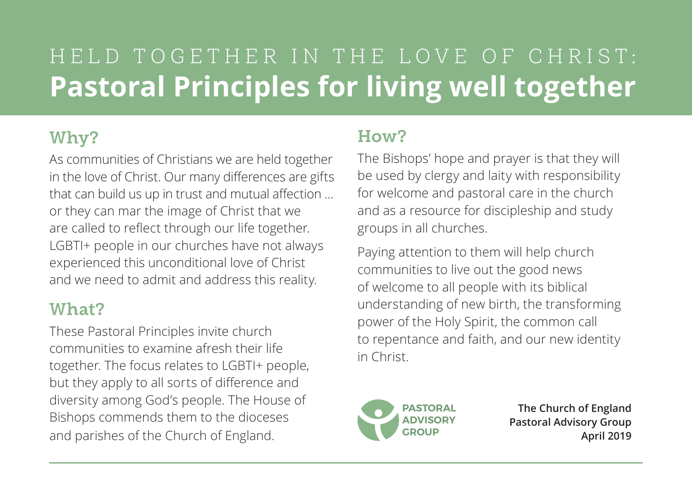### HELD TOGETHER IN THE LOVE OF CHRIST: **Pastoral Principles for living well together**

### **Why?**

As communities of Christians we are held together in the love of Christ. Our many differences are gifts that can build us up in trust and mutual affection … or they can mar the image of Christ that we are called to reflect through our life together. LGBTI+ people in our churches have not always experienced this unconditional love of Christ and we need to admit and address this reality.

### **What?**

These Pastoral Principles invite church communities to examine afresh their life together. The focus relates to LGBTI+ people, but they apply to all sorts of difference and diversity among God's people. The House of Bishops commends them to the dioceses and parishes of the Church of England.

### **How?**

The Bishops' hope and prayer is that they will be used by clergy and laity with responsibility for welcome and pastoral care in the church and as a resource for discipleship and study groups in all churches.

Paying attention to them will help church communities to live out the good news of welcome to all people with its biblical understanding of new birth, the transforming power of the Holy Spirit, the common call to repentance and faith, and our new identity in Christ.



**The Church of England Pastoral Advisory Group April 2019**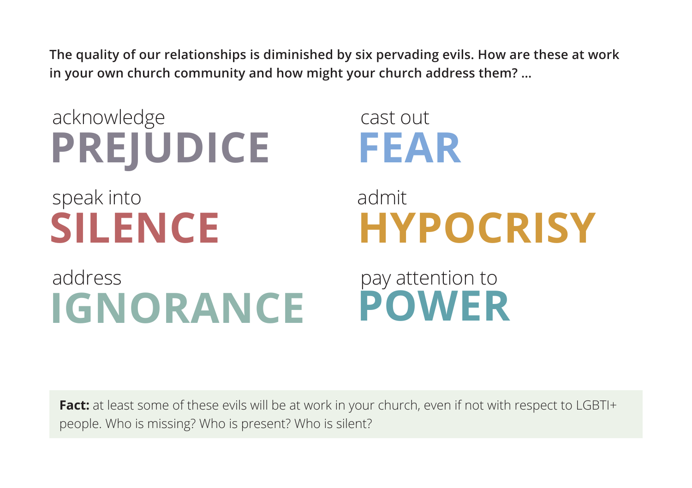**The quality of our relationships is diminished by six pervading evils. How are these at work in your own church community and how might your church address them? …**

 acknowledge **PREJUDICE** speak into **SILENCE** address **IGNORANCE** cast out **FEAR** admit **HYPOCRISY** pay attention to **POWER**

Fact: at least some of these evils will be at work in your church, even if not with respect to LGBTI+ people. Who is missing? Who is present? Who is silent?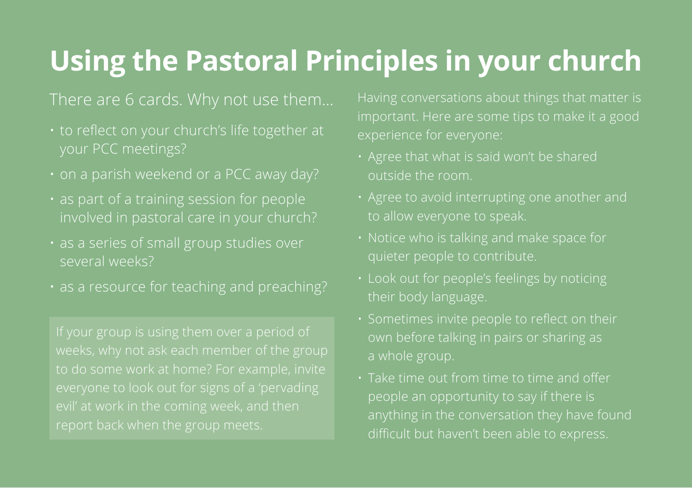### **Using the Pastoral Principles in your church**

### There are 6 cards. Why not use them…

- to reflect on your church's life together at your PCC meetings?
- 
- as part of a training session for people
- several weeks?
- 

- outside the room.
- 
- 
- their body language.
- 
- Take time out from time to time and offer people an opportunity to say if there is difficult but haven't been able to express.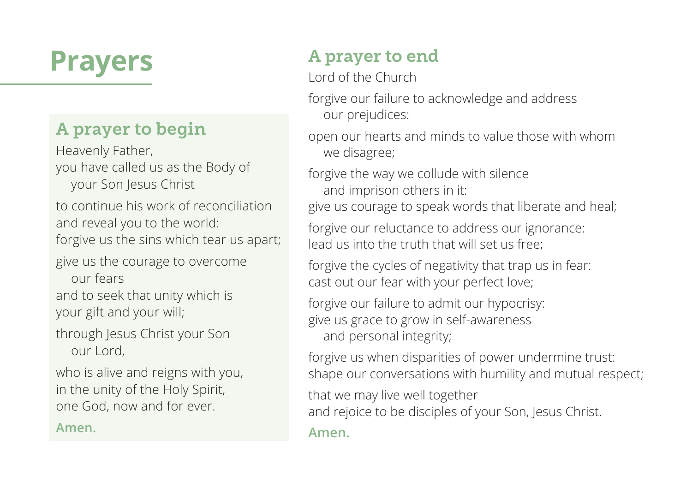### **Prayers**

### **A prayer to begin**

Heavenly Father, you have called us as the Body of your Son Jesus Christ

to continue his work of reconciliation and reveal you to the world: forgive us the sins which tear us apart;

give us the courage to overcome our fears

and to seek that unity which is your gift and your will;

through Jesus Christ your Son our Lord,

who is alive and reigns with you, in the unity of the Holy Spirit, one God, now and for ever.

**Amen.**

### **A prayer to end**

Lord of the Church

forgive our failure to acknowledge and address our prejudices:

open our hearts and minds to value those with whom we disagree;

forgive the way we collude with silence and imprison others in it:

give us courage to speak words that liberate and heal;

forgive our reluctance to address our ignorance: lead us into the truth that will set us free;

forgive the cycles of negativity that trap us in fear: cast out our fear with your perfect love;

forgive our failure to admit our hypocrisy: give us grace to grow in self-awareness and personal integrity;

forgive us when disparities of power undermine trust: shape our conversations with humility and mutual respect;

that we may live well together

and rejoice to be disciples of your Son, Jesus Christ.

**Amen.**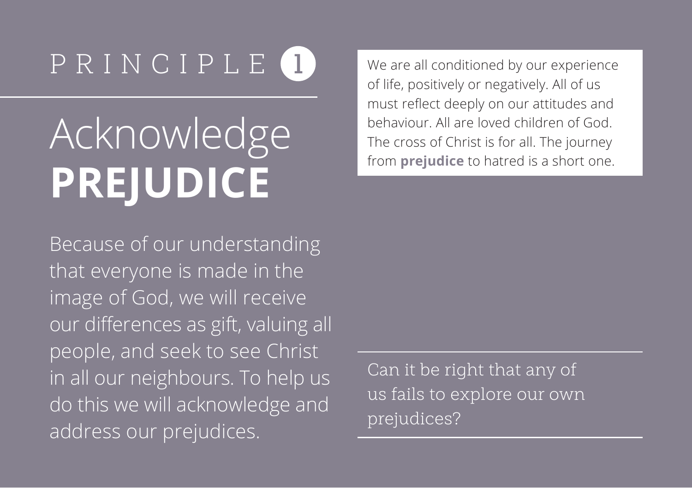# **Acknowledge PREJUDICE**

Because of our understanding that everyone is made in the image of God, we will receive our differences as gift, valuing all people, and seek to see Christ in all our neighbours. To help us do this we will acknowledge and address our prejudices.

We are all conditioned by our experience of life, positively or negatively. All of us must reflect deeply on our attitudes and behaviour. All are loved children of God. The cross of Christ is for all. The journey from **prejudice** to hatred is a short one.

Can it be right that any of us fails to explore our own prejudices?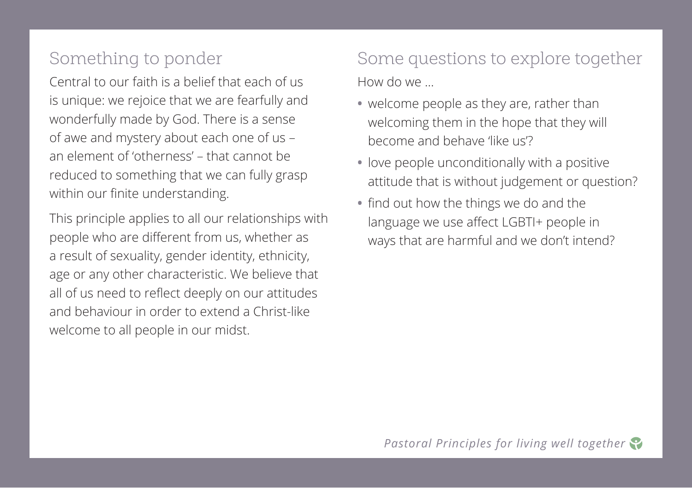Central to our faith is a belief that each of us is unique: we rejoice that we are fearfully and wonderfully made by God. There is a sense of awe and mystery about each one of us – an element of 'otherness' – that cannot be reduced to something that we can fully grasp within our finite understanding.

This principle applies to all our relationships with people who are different from us, whether as a result of sexuality, gender identity, ethnicity, age or any other characteristic. We believe that all of us need to reflect deeply on our attitudes and behaviour in order to extend a Christ-like welcome to all people in our midst.

Some questions to explore together How do we …

- **•** welcome people as they are, rather than welcoming them in the hope that they will become and behave 'like us'?
- **•** love people unconditionally with a positive attitude that is without judgement or question?
- **•** find out how the things we do and the language we use affect LGBTI+ people in ways that are harmful and we don't intend?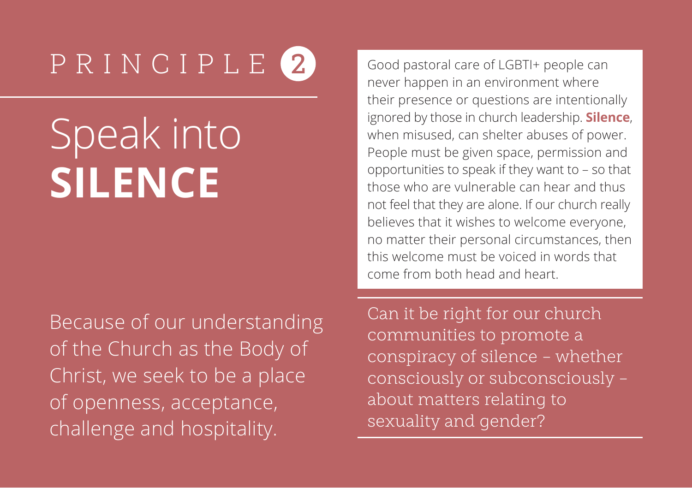# Speak into **SILENCE**

Because of our understanding of the Church as the Body of Christ, we seek to be a place of openness, acceptance, challenge and hospitality.

Good pastoral care of LGBTI+ people can never happen in an environment where their presence or questions are intentionally ignored by those in church leadership. **Silence**, when misused, can shelter abuses of power. People must be given space, permission and opportunities to speak if they want to – so that those who are vulnerable can hear and thus not feel that they are alone. If our church really believes that it wishes to welcome everyone, no matter their personal circumstances, then this welcome must be voiced in words that come from both head and heart.

Can it be right for our church communities to promote a conspiracy of silence – whether consciously or subconsciously – about matters relating to sexuality and gender?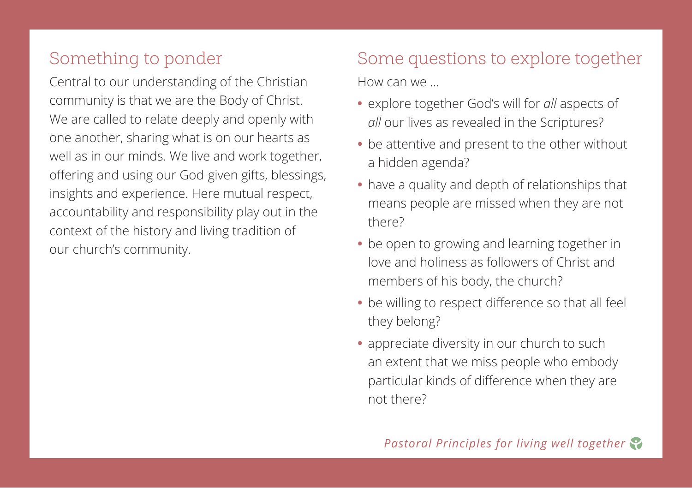Central to our understanding of the Christian community is that we are the Body of Christ. We are called to relate deeply and openly with one another, sharing what is on our hearts as well as in our minds. We live and work together, offering and using our God-given gifts, blessings, insights and experience. Here mutual respect, accountability and responsibility play out in the context of the history and living tradition of our church's community.

### Some questions to explore together

How can we …

- **•** explore together God's will for *all* aspects of *all* our lives as revealed in the Scriptures?
- **•** be attentive and present to the other without a hidden agenda?
- **•** have a quality and depth of relationships that means people are missed when they are not there?
- **•** be open to growing and learning together in love and holiness as followers of Christ and members of his body, the church?
- **•** be willing to respect difference so that all feel they belong?
- **•** appreciate diversity in our church to such an extent that we miss people who embody particular kinds of difference when they are not there?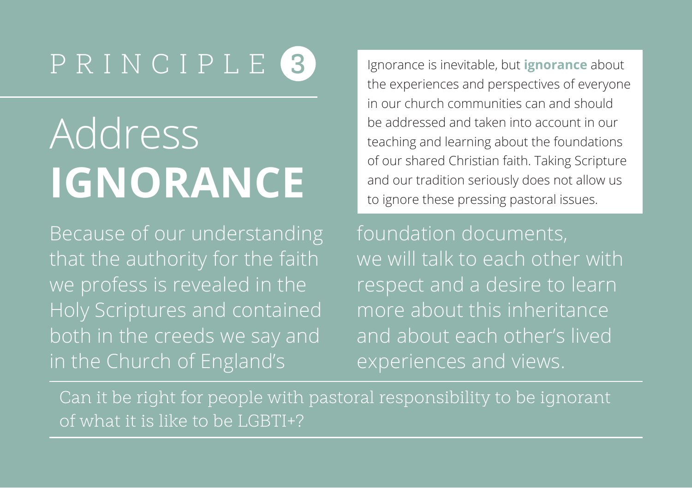# Address **IGNORANCE**

Because of our understanding that the authority for the faith we profess is revealed in the Holy Scriptures and contained both in the creeds we say and in the Church of England's

Ignorance is inevitable, but **ignorance** about the experiences and perspectives of everyone in our church communities can and should be addressed and taken into account in our teaching and learning about the foundations of our shared Christian faith. Taking Scripture and our tradition seriously does not allow us to ignore these pressing pastoral issues.

foundation documents, we will talk to each other with respect and a desire to learn more about this inheritance and about each other's lived experiences and views.

Can it be right for people with pastoral responsibility to be ignorant of what it is like to be LGBTI+?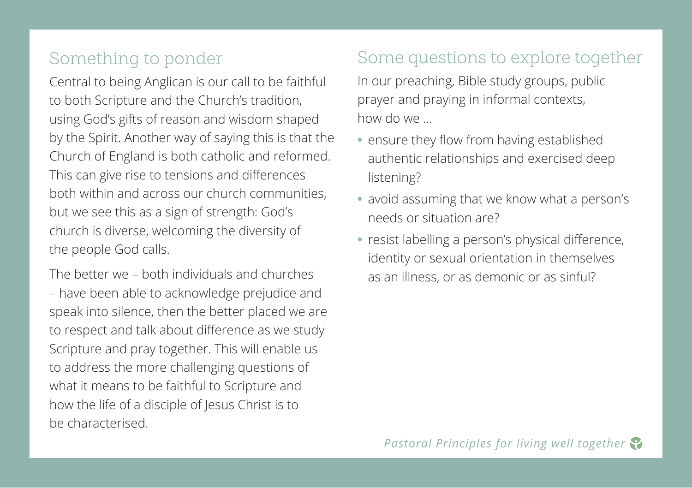Central to being Anglican is our call to be faithful to both Scripture and the Church's tradition, using God's gifts of reason and wisdom shaped by the Spirit. Another way of saying this is that the Church of England is both catholic and reformed. This can give rise to tensions and differences both within and across our church communities, but we see this as a sign of strength: God's church is diverse, welcoming the diversity of the people God calls.

The better we – both individuals and churches – have been able to acknowledge prejudice and speak into silence, then the better placed we are to respect and talk about difference as we study Scripture and pray together. This will enable us to address the more challenging questions of what it means to be faithful to Scripture and how the life of a disciple of Jesus Christ is to be characterised.

### Some questions to explore together

In our preaching, Bible study groups, public prayer and praying in informal contexts, how do we …

- **•** ensure they flow from having established authentic relationships and exercised deep listening?
- **•** avoid assuming that we know what a person's needs or situation are?
- **•** resist labelling a person's physical difference, identity or sexual orientation in themselves as an illness, or as demonic or as sinful?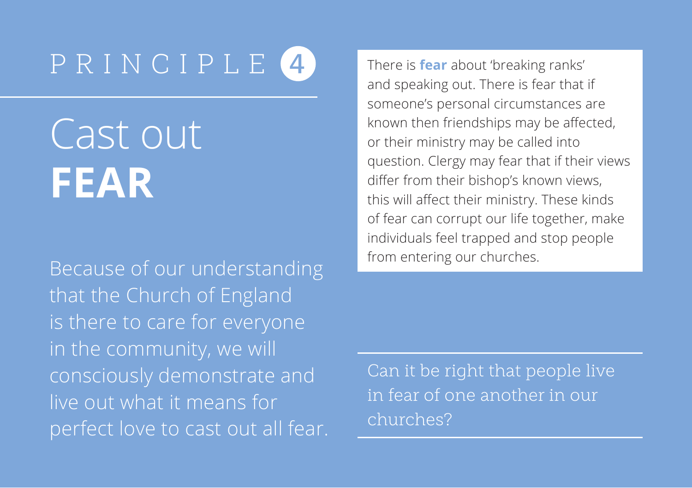Cast out **FEAR**

Because of our understanding that the Church of England is there to care for everyone in the community, we will consciously demonstrate and live out what it means for perfect love to cast out all fear. There is **fear** about 'breaking ranks' and speaking out. There is fear that if someone's personal circumstances are known then friendships may be affected, or their ministry may be called into question. Clergy may fear that if their views differ from their bishop's known views, this will affect their ministry. These kinds of fear can corrupt our life together, make individuals feel trapped and stop people from entering our churches.

Can it be right that people live in fear of one another in our churches?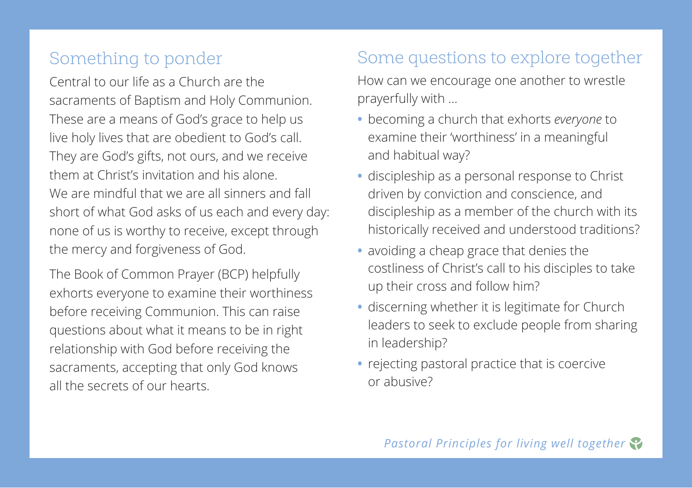Central to our life as a Church are the sacraments of Baptism and Holy Communion. These are a means of God's grace to help us live holy lives that are obedient to God's call. They are God's gifts, not ours, and we receive them at Christ's invitation and his alone. We are mindful that we are all sinners and fall short of what God asks of us each and every day: none of us is worthy to receive, except through the mercy and forgiveness of God.

The Book of Common Prayer (BCP) helpfully exhorts everyone to examine their worthiness before receiving Communion. This can raise questions about what it means to be in right relationship with God before receiving the sacraments, accepting that only God knows all the secrets of our hearts.

### Some questions to explore together

How can we encourage one another to wrestle prayerfully with …

- **•** becoming a church that exhorts *everyone* to examine their 'worthiness' in a meaningful and habitual way?
- **•** discipleship as a personal response to Christ driven by conviction and conscience, and discipleship as a member of the church with its historically received and understood traditions?
- **•** avoiding a cheap grace that denies the costliness of Christ's call to his disciples to take up their cross and follow him?
- **•** discerning whether it is legitimate for Church leaders to seek to exclude people from sharing in leadership?
- **•** rejecting pastoral practice that is coercive or abusive?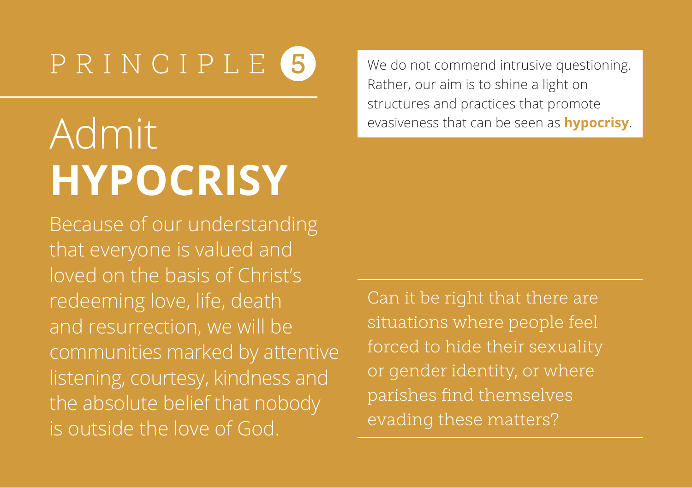## Admit **HYPOCRISY**

Because of our understanding that everyone is valued and loved on the basis of Christ's redeeming love, life, death and resurrection, we will be communities marked by attentive listening, courtesy, kindness and the absolute belief that nobody is outside the love of God.

We do not commend intrusive questioning. Rather, our aim is to shine a light on structures and practices that promote evasiveness that can be seen as **hypocrisy**.

Can it be right that there are situations where people feel forced to hide their sexuality or gender identity, or where parishes find themselves evading these matters?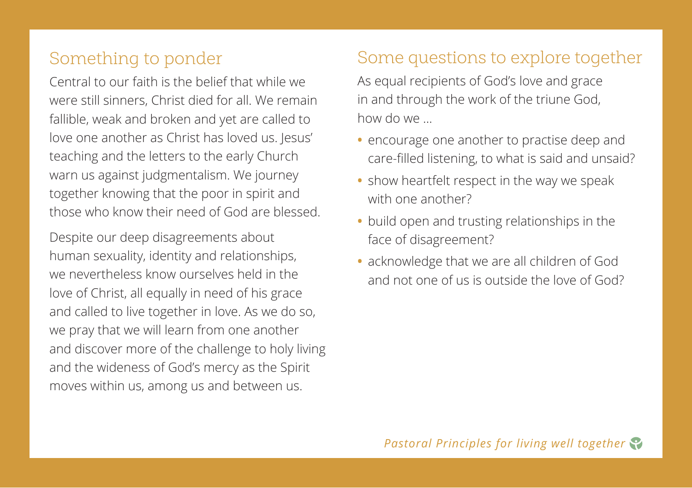Central to our faith is the belief that while we were still sinners, Christ died for all. We remain fallible, weak and broken and yet are called to love one another as Christ has loved us. Jesus' teaching and the letters to the early Church warn us against judgmentalism. We journey together knowing that the poor in spirit and those who know their need of God are blessed.

Despite our deep disagreements about human sexuality, identity and relationships, we nevertheless know ourselves held in the love of Christ, all equally in need of his grace and called to live together in love. As we do so, we pray that we will learn from one another and discover more of the challenge to holy living and the wideness of God's mercy as the Spirit moves within us, among us and between us.

#### Some questions to explore together

As equal recipients of God's love and grace in and through the work of the triune God, how do we ...

- **•** encourage one another to practise deep and care-filled listening, to what is said and unsaid?
- **•** show heartfelt respect in the way we speak with one another?
- **•** build open and trusting relationships in the face of disagreement?
- **•** acknowledge that we are all children of God and not one of us is outside the love of God?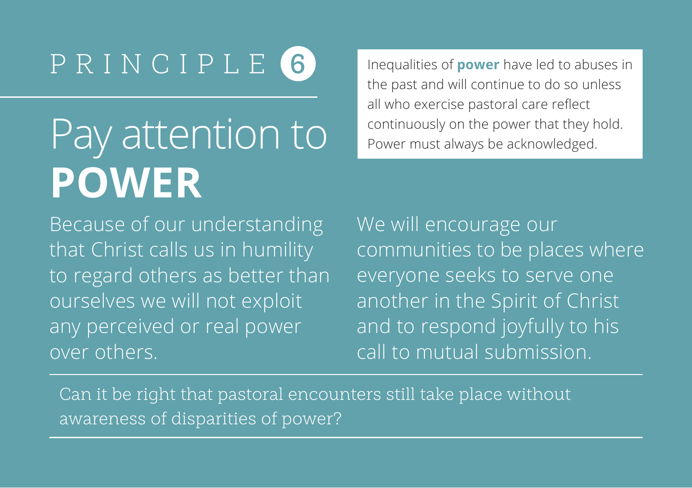## Pay attention to **Power must always be acknowledged.** Pay attention to Power must always be acknowledged. **POWER**

Inequalities of **power** have led to abuses in the past and will continue to do so unless all who exercise pastoral care reflect

Because of our understanding that Christ calls us in humility to regard others as better than ourselves we will not exploit any perceived or real power over others.

We will encourage our communities to be places where everyone seeks to serve one another in the Spirit of Christ and to respond joyfully to his call to mutual submission.

Can it be right that pastoral encounters still take place without awareness of disparities of power?